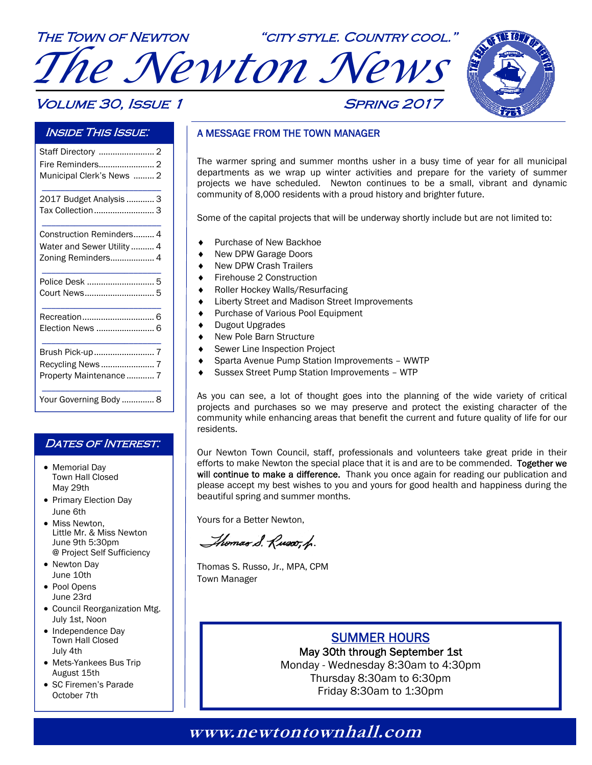# The Town of Newton "city style. Country cool." *The Newton News*

### **VOLUME 30, ISSUE 1 SPRING 2017**



### Inside This Issue:

| Fire Reminders 2           |
|----------------------------|
| Municipal Clerk's News  2  |
| 2017 Budget Analysis  3    |
| Tax Collection 3           |
| Construction Reminders 4   |
| Water and Sewer Utility  4 |
| Zoning Reminders 4         |
| Police Desk  5             |
|                            |
| Recreation 6               |
| Election News  6           |
|                            |
|                            |
| Property Maintenance  7    |
| Your Governing Body  8     |

### DATES OF INTEREST:

- Memorial Day Town Hall Closed May 29th
- Primary Election Day June 6th
- Miss Newton. Little Mr. & Miss Newton June 9th 5:30pm @ Project Self Sufficiency
- Newton Day June 10th
- Pool Opens June 23rd
- Council Reorganization Mtg. July 1st, Noon
- Independence Day Town Hall Closed July 4th
- Mets-Yankees Bus Trip August 15th
- SC Firemen's Parade October 7th

### A MESSAGE FROM THE TOWN MANAGER

The warmer spring and summer months usher in a busy time of year for all municipal departments as we wrap up winter activities and prepare for the variety of summer projects we have scheduled. Newton continues to be a small, vibrant and dynamic community of 8,000 residents with a proud history and brighter future.

Some of the capital projects that will be underway shortly include but are not limited to:

- Purchase of New Backhoe
- New DPW Garage Doors
- New DPW Crash Trailers
- Firehouse 2 Construction
- Roller Hockey Walls/Resurfacing
- Liberty Street and Madison Street Improvements
- Purchase of Various Pool Equipment
- Dugout Upgrades
- ◆ New Pole Barn Structure
- Sewer Line Inspection Project
- Sparta Avenue Pump Station Improvements WWTP
- Sussex Street Pump Station Improvements WTP

As you can see, a lot of thought goes into the planning of the wide variety of critical projects and purchases so we may preserve and protect the existing character of the community while enhancing areas that benefit the current and future quality of life for our residents.

Our Newton Town Council, staff, professionals and volunteers take great pride in their efforts to make Newton the special place that it is and are to be commended. Together we will continue to make a difference. Thank you once again for reading our publication and please accept my best wishes to you and yours for good health and happiness during the beautiful spring and summer months.

Yours for a Better Newton,

Thomas S. Russo, h.

Thomas S. Russo, Jr., MPA, CPM Town Manager

### SUMMER HOURS

May 30th through September 1st Monday - Wednesday 8:30am to 4:30pm

Thursday 8:30am to 6:30pm Friday 8:30am to 1:30pm

### **www.newtontownhall.com www.newtontownhall.com**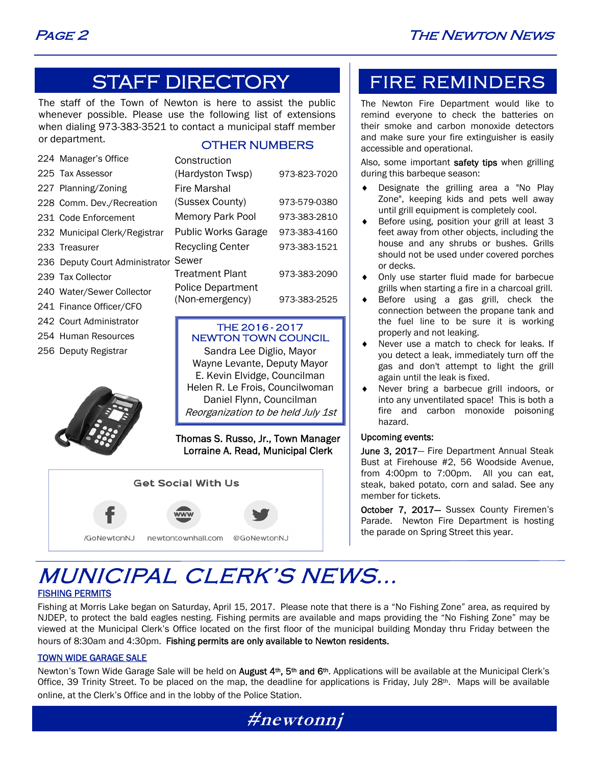### STAFF DIRECTORY

The staff of the Town of Newton is here to assist the public whenever possible. Please use the following list of extensions when dialing 973-383-3521 to contact a municipal staff member or department.

### OTHER NUMBERS

| 224 Manager's Office           | Construction               |              |
|--------------------------------|----------------------------|--------------|
| 225 Tax Assessor               | (Hardyston Twsp)           | 973-823-7020 |
| 227 Planning/Zoning            | Fire Marshal               |              |
| 228 Comm. Dev./Recreation      | (Sussex County)            | 973-579-0380 |
| 231 Code Enforcement           | <b>Memory Park Pool</b>    | 973-383-2810 |
| 232 Municipal Clerk/Registrar  | <b>Public Works Garage</b> | 973-383-4160 |
| 233 Treasurer                  | <b>Recycling Center</b>    | 973-383-1521 |
| 236 Deputy Court Administrator | Sewer                      |              |
| 239 Tax Collector              | <b>Treatment Plant</b>     | 973-383-2090 |
| 240 Water/Sewer Collector      | <b>Police Department</b>   |              |
| 241 Finance Officer/CFO        | (Non-emergency)            | 973-383-2525 |
| 242 Court Administrator        | THE 2016-2017              |              |

### 254 Human Resources

256 Deputy Registrar



| THE 2016-2017       |
|---------------------|
| NEWTON TOWN COUNCIL |

Sandra Lee Diglio, Mayor Wayne Levante, Deputy Mayor E. Kevin Elvidge, Councilman Helen R. Le Frois, Councilwoman Daniel Flynn, Councilman Reorganization to be held July 1st

Thomas S. Russo, Jr., Town Manager Lorraine A. Read, Municipal Clerk



### FIRE REMINDERS

The Newton Fire Department would like to remind everyone to check the batteries on their smoke and carbon monoxide detectors and make sure your fire extinguisher is easily accessible and operational.

Also, some important safety tips when grilling during this barbeque season:

- Designate the grilling area a "No Play Zone", keeping kids and pets well away until grill equipment is completely cool.
- Before using, position your grill at least 3 feet away from other objects, including the house and any shrubs or bushes. Grills should not be used under covered porches or decks.
- Only use starter fluid made for barbecue grills when starting a fire in a charcoal grill.
- Before using a gas grill, check the connection between the propane tank and the fuel line to be sure it is working properly and not leaking.
- Never use a match to check for leaks. If you detect a leak, immediately turn off the gas and don't attempt to light the grill again until the leak is fixed.
- Never bring a barbecue grill indoors, or into any unventilated space! This is both a fire and carbon monoxide poisoning hazard.

#### Upcoming events:

June 3, 2017- Fire Department Annual Steak Bust at Firehouse #2, 56 Woodside Avenue, from 4:00pm to 7:00pm. All you can eat, steak, baked potato, corn and salad. See any member for tickets.

October 7, 2017- Sussex County Firemen's Parade. Newton Fire Department is hosting the parade on Spring Street this year.

## MUNICIPAL CLERK'S NEWS...

### FISHING PERMITS

Fishing at Morris Lake began on Saturday, April 15, 2017. Please note that there is a "No Fishing Zone" area, as required by NJDEP, to protect the bald eagles nesting. Fishing permits are available and maps providing the "No Fishing Zone" may be viewed at the Municipal Clerk's Office located on the first floor of the municipal building Monday thru Friday between the hours of 8:30am and 4:30pm. Fishing permits are only available to Newton residents.

### TOWN WIDE GARAGE SALE

Newton's Town Wide Garage Sale will be held on August 4<sup>th</sup>, 5<sup>th</sup> and 6<sup>th</sup>. Applications will be available at the Municipal Clerk's Office, 39 Trinity Street. To be placed on the map, the deadline for applications is Friday, July 28<sup>th</sup>. Maps will be available online, at the Clerk's Office and in the lobby of the Police Station.

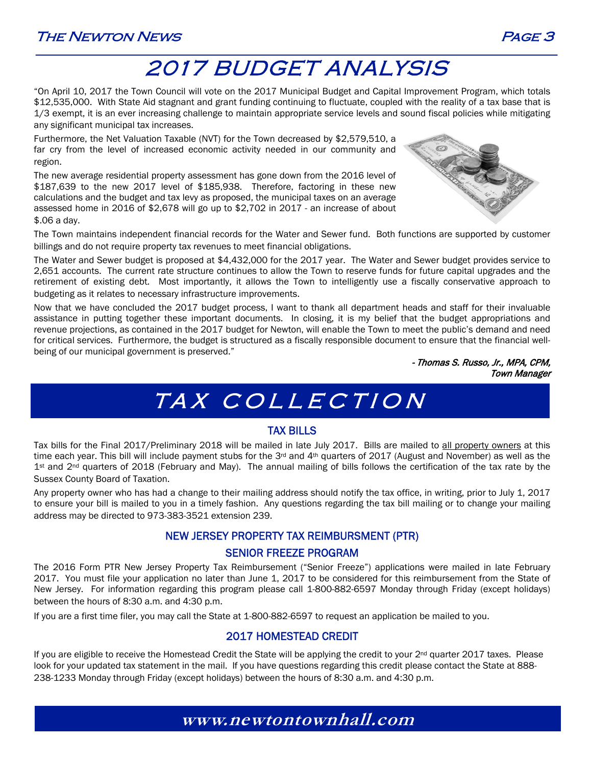### The Newton News Page 3



### 2017 BUDGET ANALYSIS

"On April 10, 2017 the Town Council will vote on the 2017 Municipal Budget and Capital Improvement Program, which totals \$12,535,000. With State Aid stagnant and grant funding continuing to fluctuate, coupled with the reality of a tax base that is 1/3 exempt, it is an ever increasing challenge to maintain appropriate service levels and sound fiscal policies while mitigating any significant municipal tax increases.

Furthermore, the Net Valuation Taxable (NVT) for the Town decreased by \$2,579,510, a far cry from the level of increased economic activity needed in our community and region.

The new average residential property assessment has gone down from the 2016 level of \$187,639 to the new 2017 level of \$185,938. Therefore, factoring in these new calculations and the budget and tax levy as proposed, the municipal taxes on an average assessed home in 2016 of \$2,678 will go up to \$2,702 in 2017 - an increase of about \$.06 a day.



The Town maintains independent financial records for the Water and Sewer fund. Both functions are supported by customer billings and do not require property tax revenues to meet financial obligations.

The Water and Sewer budget is proposed at \$4,432,000 for the 2017 year. The Water and Sewer budget provides service to 2,651 accounts. The current rate structure continues to allow the Town to reserve funds for future capital upgrades and the retirement of existing debt. Most importantly, it allows the Town to intelligently use a fiscally conservative approach to budgeting as it relates to necessary infrastructure improvements.

Now that we have concluded the 2017 budget process, I want to thank all department heads and staff for their invaluable assistance in putting together these important documents. In closing, it is my belief that the budget appropriations and revenue projections, as contained in the 2017 budget for Newton, will enable the Town to meet the public's demand and need for critical services. Furthermore, the budget is structured as a fiscally responsible document to ensure that the financial wellbeing of our municipal government is preserved."

> - Thomas S. Russo, Jr., MPA, CPM, Town Manager

## TAX COLLECTION

### TAX BILLS

Tax bills for the Final 2017/Preliminary 2018 will be mailed in late July 2017. Bills are mailed to all property owners at this time each year. This bill will include payment stubs for the 3<sup>rd</sup> and 4<sup>th</sup> quarters of 2017 (August and November) as well as the 1<sup>st</sup> and 2<sup>nd</sup> quarters of 2018 (February and May). The annual mailing of bills follows the certification of the tax rate by the Sussex County Board of Taxation.

Any property owner who has had a change to their mailing address should notify the tax office, in writing, prior to July 1, 2017 to ensure your bill is mailed to you in a timely fashion. Any questions regarding the tax bill mailing or to change your mailing address may be directed to 973-383-3521 extension 239.

### NEW JERSEY PROPERTY TAX REIMBURSMENT (PTR)

### SENIOR FREEZE PROGRAM

The 2016 Form PTR New Jersey Property Tax Reimbursement ("Senior Freeze") applications were mailed in late February 2017. You must file your application no later than June 1, 2017 to be considered for this reimbursement from the State of New Jersey. For information regarding this program please call 1-800-882-6597 Monday through Friday (except holidays) between the hours of 8:30 a.m. and 4:30 p.m.

If you are a first time filer, you may call the State at 1-800-882-6597 to request an application be mailed to you.

### 2017 HOMESTEAD CREDIT

If you are eligible to receive the Homestead Credit the State will be applying the credit to your  $2^{nd}$  quarter 2017 taxes. Please look for your updated tax statement in the mail. If you have questions regarding this credit please contact the State at 888- 238-1233 Monday through Friday (except holidays) between the hours of 8:30 a.m. and 4:30 p.m.

### **www.newtontownhall.com**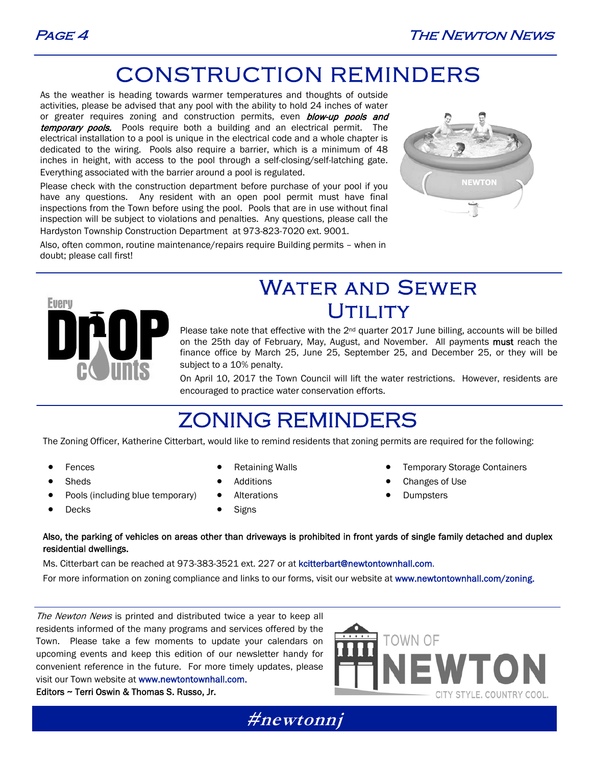

## CONSTRUCTION REMINDERS

As the weather is heading towards warmer temperatures and thoughts of outside activities, please be advised that any pool with the ability to hold 24 inches of water or greater requires zoning and construction permits, even **blow-up pools and** temporary pools. Pools require both a building and an electrical permit. The electrical installation to a pool is unique in the electrical code and a whole chapter is dedicated to the wiring. Pools also require a barrier, which is a minimum of 48 inches in height, with access to the pool through a self-closing/self-latching gate. Everything associated with the barrier around a pool is regulated.

Please check with the construction department before purchase of your pool if you have any questions. Any resident with an open pool permit must have final inspections from the Town before using the pool. Pools that are in use without final inspection will be subject to violations and penalties. Any questions, please call the Hardyston Township Construction Department at 973-823-7020 ext. 9001.



Also, often common, routine maintenance/repairs require Building permits – when in doubt; please call first!



### Water and Sewer UTILITY

Please take note that effective with the  $2<sup>nd</sup>$  quarter 2017 June billing, accounts will be billed on the 25th day of February, May, August, and November. All payments must reach the finance office by March 25, June 25, September 25, and December 25, or they will be subject to a 10% penalty.

On April 10, 2017 the Town Council will lift the water restrictions. However, residents are encouraged to practice water conservation efforts.

### ZONING REMINDERS

The Zoning Officer, Katherine Citterbart, would like to remind residents that zoning permits are required for the following:

Fences

Retaining Walls

- Sheds
- Pools (including blue temporary)
- Decks
- 
- Additions
- Alterations
- **Signs**
- Temporary Storage Containers
- Changes of Use
- Dumpsters

#### Also, the parking of vehicles on areas other than driveways is prohibited in front yards of single family detached and duplex residential dwellings.

Ms. Citterbart can be reached at 973-383-3521 ext. 227 or at kcitterbart@newtontownhall.com. For more information on zoning compliance and links to our forms, visit our website at www.newtontownhall.com/zoning.

The Newton News is printed and distributed twice a year to keep all residents informed of the many programs and services offered by the Town. Please take a few moments to update your calendars on upcoming events and keep this edition of our newsletter handy for convenient reference in the future. For more timely updates, please visit our Town website at www.newtontownhall.com.

Editors ~ Terri Oswin & Thomas S. Russo, Jr.



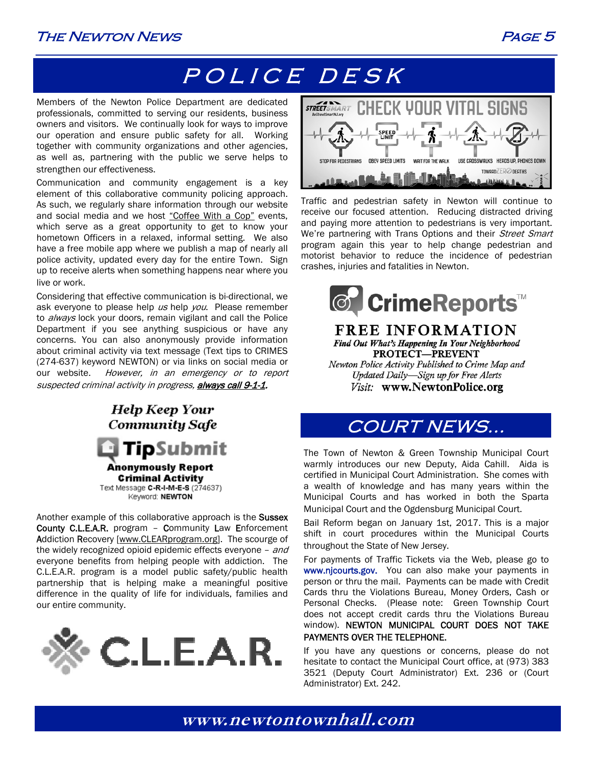### The Newton News Page 5

## POLICE DESK

Members of the Newton Police Department are dedicated professionals, committed to serving our residents, business owners and visitors. We continually look for ways to improve our operation and ensure public safety for all. Working together with community organizations and other agencies, as well as, partnering with the public we serve helps to strengthen our effectiveness.

Communication and community engagement is a key element of this collaborative community policing approach. As such, we regularly share information through our website and social media and we host "Coffee With a Cop" events, which serve as a great opportunity to get to know your hometown Officers in a relaxed, informal setting. We also have a free mobile app where we publish a map of nearly all police activity, updated every day for the entire Town. Sign up to receive alerts when something happens near where you live or work.

Considering that effective communication is bi-directional, we ask everyone to please help us help you. Please remember to *always* lock your doors, remain vigilant and call the Police Department if you see anything suspicious or have any concerns. You can also anonymously provide information about criminal activity via text message (Text tips to CRIMES (274-637) keyword NEWTON) or via links on social media or our website. However, in an emergency or to report suspected criminal activity in progress, always call 9-1-1.



**Criminal Activity** Text Message C-R-I-M-E-S (274637) Keyword: NEWTON

Another example of this collaborative approach is the Sussex County C.L.E.A.R. program – Community Law Enforcement Addiction Recovery [www.CLEARprogram.org]. The scourge of the widely recognized opioid epidemic effects everyone - and everyone benefits from helping people with addiction. The C.L.E.A.R. program is a model public safety/public health partnership that is helping make a meaningful positive difference in the quality of life for individuals, families and our entire community.





Traffic and pedestrian safety in Newton will continue to receive our focused attention. Reducing distracted driving and paying more attention to pedestrians is very important. We're partnering with Trans Options and their Street Smart program again this year to help change pedestrian and motorist behavior to reduce the incidence of pedestrian crashes, injuries and fatalities in Newton.



#### **FREE INFORMATION** Find Out What's Happening In Your Neighborhood PROTECT-PREVENT Newton Police Activity Published to Crime Map and Updated Daily-Sign up for Free Alerts Visit: www.NewtonPolice.org

### COURT NEWS...

The Town of Newton & Green Township Municipal Court warmly introduces our new Deputy, Aida Cahill. Aida is certified in Municipal Court Administration. She comes with a wealth of knowledge and has many years within the Municipal Courts and has worked in both the Sparta Municipal Court and the Ogdensburg Municipal Court.

Bail Reform began on January 1st, 2017. This is a major shift in court procedures within the Municipal Courts throughout the State of New Jersey.

For payments of Traffic Tickets via the Web, please go to www.njcourts.gov. You can also make your payments in person or thru the mail. Payments can be made with Credit Cards thru the Violations Bureau, Money Orders, Cash or Personal Checks. (Please note: Green Township Court does not accept credit cards thru the Violations Bureau window). NEWTON MUNICIPAL COURT DOES NOT TAKE PAYMENTS OVER THE TELEPHONE.

If you have any questions or concerns, please do not hesitate to contact the Municipal Court office, at (973) 383 3521 (Deputy Court Administrator) Ext. 236 or (Court Administrator) Ext. 242.

**www.newtontownhall.com**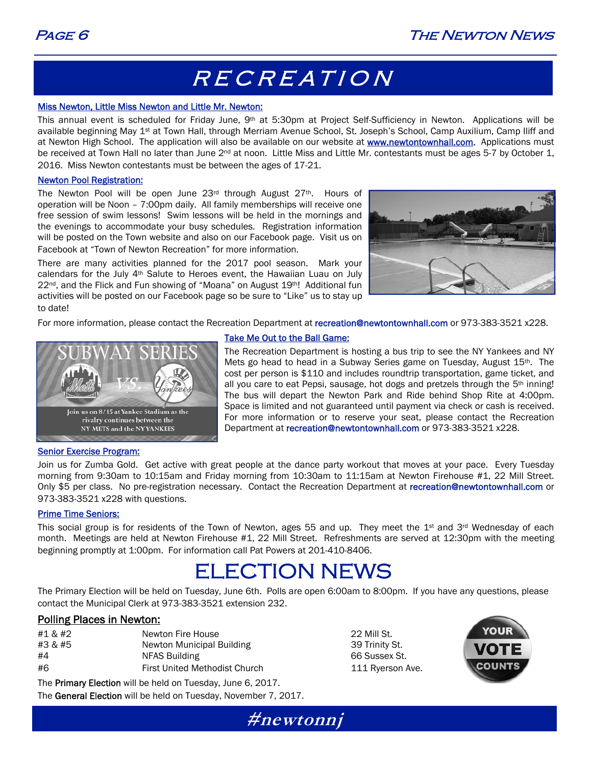## RECREATION

#### Miss Newton, Little Miss Newton and Little Mr. Newton:

This annual event is scheduled for Friday June, 9th at 5:30pm at Project Self-Sufficiency in Newton. Applications will be available beginning May 1<sup>st</sup> at Town Hall, through Merriam Avenue School, St. Joseph's School, Camp Auxilium, Camp Iliff and at Newton High School. The application will also be available on our website at **www.newtontownhall.com.** Applications must be received at Town Hall no later than June 2<sup>nd</sup> at noon. Little Miss and Little Mr. contestants must be ages 5-7 by October 1, 2016. Miss Newton contestants must be between the ages of 17-21.

#### Newton Pool Registration:

The Newton Pool will be open June  $23<sup>rd</sup>$  through August  $27<sup>th</sup>$ . Hours of operation will be Noon – 7:00pm daily. All family memberships will receive one free session of swim lessons! Swim lessons will be held in the mornings and the evenings to accommodate your busy schedules. Registration information will be posted on the Town website and also on our Facebook page. Visit us on Facebook at "Town of Newton Recreation" for more information.

There are many activities planned for the 2017 pool season. Mark your calendars for the July  $4<sup>th</sup>$  Salute to Heroes event, the Hawaiian Luau on July  $22<sup>nd</sup>$ , and the Flick and Fun showing of "Moana" on August  $19<sup>th</sup>$ ! Additional fun activities will be posted on our Facebook page so be sure to "Like" us to stay up to date!



For more information, please contact the Recreation Department at recreation@newtontownhall.com or 973-383-3521 x228.



#### Take Me Out to the Ball Game:

The Recreation Department is hosting a bus trip to see the NY Yankees and NY Mets go head to head in a Subway Series game on Tuesday, August 15th. The cost per person is \$110 and includes roundtrip transportation, game ticket, and all you care to eat Pepsi, sausage, hot dogs and pretzels through the  $5<sup>th</sup>$  inning! The bus will depart the Newton Park and Ride behind Shop Rite at 4:00pm. Space is limited and not guaranteed until payment via check or cash is received. For more information or to reserve your seat, please contact the Recreation Department at recreation@newtontownhall.com or 973-383-3521 x228.

#### Senior Exercise Program:

Join us for Zumba Gold. Get active with great people at the dance party workout that moves at your pace. Every Tuesday morning from 9:30am to 10:15am and Friday morning from 10:30am to 11:15am at Newton Firehouse #1, 22 Mill Street. Only \$5 per class. No pre-registration necessary. Contact the Recreation Department at recreation@newtontownhall.com or 973-383-3521 x228 with questions.

#### Prime Time Seniors:

This social group is for residents of the Town of Newton, ages 55 and up. They meet the  $1<sup>st</sup>$  and  $3<sup>rd</sup>$  Wednesday of each month. Meetings are held at Newton Firehouse #1, 22 Mill Street. Refreshments are served at 12:30pm with the meeting beginning promptly at 1:00pm. For information call Pat Powers at 201-410-8406.

### ELECTION NEWS

The Primary Election will be held on Tuesday, June 6th. Polls are open 6:00am to 8:00pm. If you have any questions, please contact the Municipal Clerk at 973-383-3521 extension 232.

#### Polling Places in Newton:

| #1 & #2 | Newton Fire House             | 22 Mill St.  |
|---------|-------------------------------|--------------|
| #3 & #5 | Newton Municipal Building     | 39 Trinity S |
| #4      | NFAS Building                 | 66 Sussex    |
| #6      | First United Methodist Church | 111 Ryers    |

39 Trinity St. 66 Sussex St. 111 Ryerson Ave.



The Primary Election will be held on Tuesday, June 6, 2017. The General Election will be held on Tuesday, November 7, 2017.

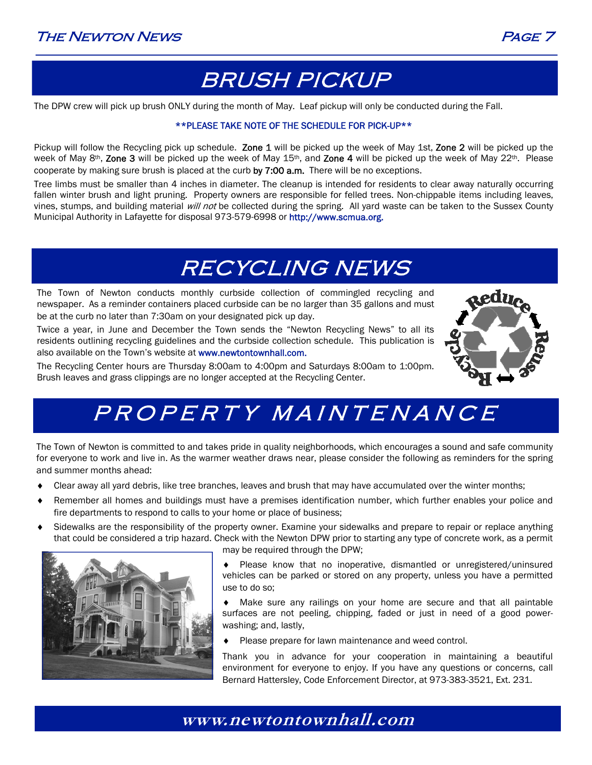

## BRUSH PICKUP

The DPW crew will pick up brush ONLY during the month of May. Leaf pickup will only be conducted during the Fall.

#### \*\*PLEASE TAKE NOTE OF THE SCHEDULE FOR PICK-UP\*\*

Pickup will follow the Recycling pick up schedule. Zone 1 will be picked up the week of May 1st, Zone 2 will be picked up the week of May 8<sup>th</sup>, Zone 3 will be picked up the week of May 15<sup>th</sup>, and Zone 4 will be picked up the week of May 22<sup>th</sup>. Please cooperate by making sure brush is placed at the curb by 7:00 a.m. There will be no exceptions.

Tree limbs must be smaller than 4 inches in diameter. The cleanup is intended for residents to clear away naturally occurring fallen winter brush and light pruning. Property owners are responsible for felled trees. Non-chippable items including leaves, vines, stumps, and building material *will not* be collected during the spring. All yard waste can be taken to the Sussex County Municipal Authority in Lafayette for disposal 973-579-6998 or http://www.scmua.org.

## RECYCLING NEWS

The Town of Newton conducts monthly curbside collection of commingled recycling and newspaper. As a reminder containers placed curbside can be no larger than 35 gallons and must be at the curb no later than 7:30am on your designated pick up day.

Twice a year, in June and December the Town sends the "Newton Recycling News" to all its residents outlining recycling guidelines and the curbside collection schedule. This publication is also available on the Town's website at www.newtontownhall.com.

The Recycling Center hours are Thursday 8:00am to 4:00pm and Saturdays 8:00am to 1:00pm. Brush leaves and grass clippings are no longer accepted at the Recycling Center.



## PROPERTY MAINTENANCE

The Town of Newton is committed to and takes pride in quality neighborhoods, which encourages a sound and safe community for everyone to work and live in. As the warmer weather draws near, please consider the following as reminders for the spring and summer months ahead:

- Clear away all yard debris, like tree branches, leaves and brush that may have accumulated over the winter months;
- Remember all homes and buildings must have a premises identification number, which further enables your police and fire departments to respond to calls to your home or place of business;
- Sidewalks are the responsibility of the property owner. Examine your sidewalks and prepare to repair or replace anything that could be considered a trip hazard. Check with the Newton DPW prior to starting any type of concrete work, as a permit



may be required through the DPW;

 Please know that no inoperative, dismantled or unregistered/uninsured vehicles can be parked or stored on any property, unless you have a permitted use to do so;

 Make sure any railings on your home are secure and that all paintable surfaces are not peeling, chipping, faded or just in need of a good powerwashing; and, lastly,

◆ Please prepare for lawn maintenance and weed control.

Thank you in advance for your cooperation in maintaining a beautiful environment for everyone to enjoy. If you have any questions or concerns, call Bernard Hattersley, Code Enforcement Director, at 973-383-3521, Ext. 231.

### **www.newtontownhall.com**